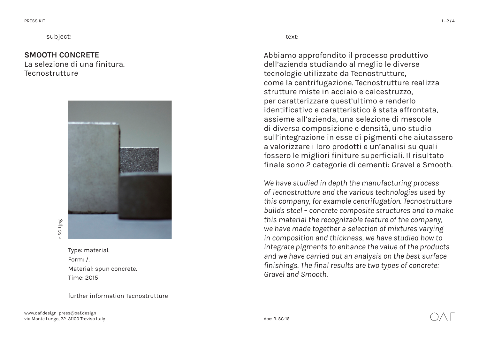subject: text:

## **SMOOTH CONCRETE**

La selezione di una finitura. **Tecnostrutture** 



Type: material. Form: / Material: spun concrete. Time: 2015

further information Tecnostrutture

Abbiamo approfondito il processo produttivo dell'azienda studiando al meglio le diverse tecnologie utilizzate da Tecnostrutture, come la centrifugazione. Tecnostrutture realizza strutture miste in acciaio e calcestruzzo, per caratterizzare quest'ultimo e renderlo identificativo e caratteristico è stata affrontata, assieme all'azienda, una selezione di mescole di diversa composizione e densità, uno studio sull'integrazione in esse di pigmenti che aiutassero a valorizzare i loro prodotti e un'analisi su quali fossero le migliori finiture superficiali. Il risultato finale sono 2 categorie di cementi: Gravel e Smooth.

*We have studied in depth the manufacturing process of Tecnostrutture and the various technologies used by this company, for example centrifugation. Tecnostrutture builds steel – concrete composite structures and to make this material the recognizable feature of the company, we have made together a selection of mixtures varying in composition and thickness, we have studied how to integrate pigments to enhance the value of the products and we have carried out an analysis on the best surface finishings. The final results are two types of concrete: Gravel and Smooth.*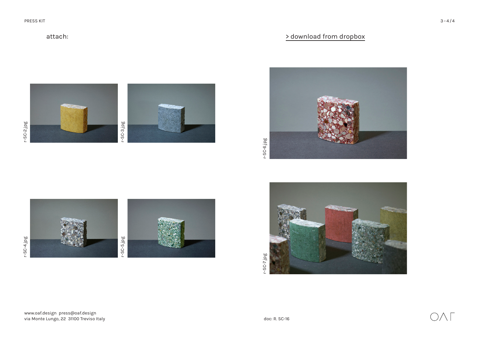attach:





www.oaf.design press@oaf.design via Monte Lungo, 22 31100 Treviso Italy